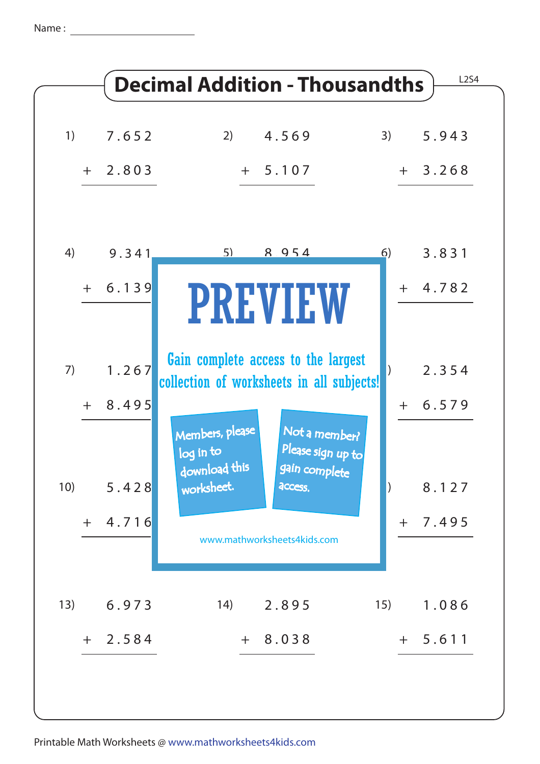